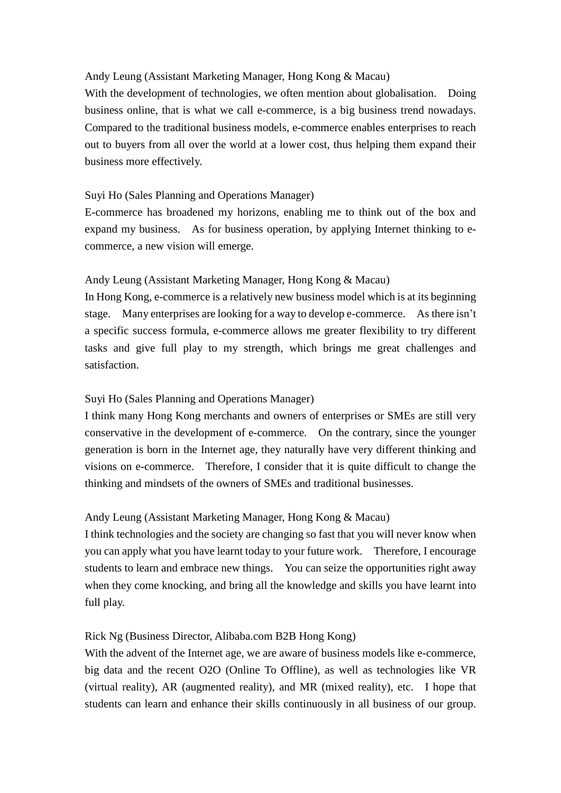# Andy Leung (Assistant Marketing Manager, Hong Kong & Macau)

 With the development of technologies, we often mention about globalisation. Doing business online, that is what we call e-commerce, is a big business trend nowadays. out to buyers from all over the world at a lower cost, thus helping them expand their Compared to the traditional business models, e-commerce enables enterprises to reach business more effectively.

# Suyi Ho (Sales Planning and Operations Manager)

 E-commerce has broadened my horizons, enabling me to think out of the box and expand my business. As for business operation, by applying Internet thinking to e-commerce, a new vision will emerge.

### Andy Leung (Assistant Marketing Manager, Hong Kong & Macau)

 In Hong Kong, e-commerce is a relatively new business model which is at its beginning stage. Many enterprises are looking for a way to develop e-commerce. As there isn't a specific success formula, e-commerce allows me greater flexibility to try different tasks and give full play to my strength, which brings me great challenges and satisfaction.

### Suyi Ho (Sales Planning and Operations Manager)

 I think many Hong Kong merchants and owners of enterprises or SMEs are still very conservative in the development of e-commerce. On the contrary, since the younger generation is born in the Internet age, they naturally have very different thinking and visions on e-commerce. Therefore, I consider that it is quite difficult to change the thinking and mindsets of the owners of SMEs and traditional businesses.

# Andy Leung (Assistant Marketing Manager, Hong Kong & Macau)

 I think technologies and the society are changing so fast that you will never know when you can apply what you have learnt today to your future work. Therefore, I encourage when they come knocking, and bring all the knowledge and skills you have learnt into students to learn and embrace new things. You can seize the opportunities right away full play.

# Rick Ng (Business Director, Alibaba.com B2B Hong Kong)

 With the advent of the Internet age, we are aware of business models like e-commerce, big data and the recent O2O (Online To Offline), as well as technologies like VR (virtual reality), AR (augmented reality), and MR (mixed reality), etc. I hope that students can learn and enhance their skills continuously in all business of our group.